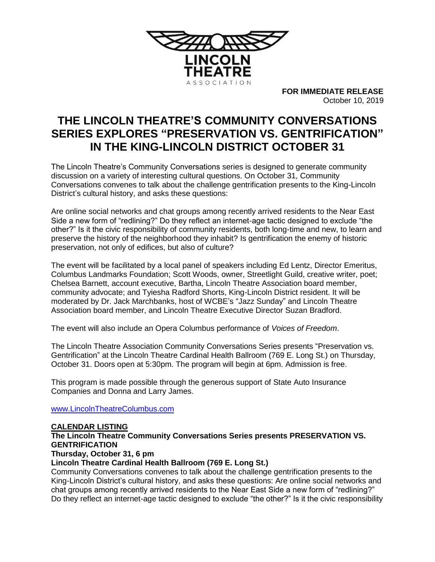

**FOR IMMEDIATE RELEASE** October 10, 2019

# **THE LINCOLN THEATRE'S COMMUNITY CONVERSATIONS SERIES EXPLORES "PRESERVATION VS. GENTRIFICATION" IN THE KING-LINCOLN DISTRICT OCTOBER 31**

The Lincoln Theatre's Community Conversations series is designed to generate community discussion on a variety of interesting cultural questions. On October 31, Community Conversations convenes to talk about the challenge gentrification presents to the King-Lincoln District's cultural history, and asks these questions:

Are online social networks and chat groups among recently arrived residents to the Near East Side a new form of "redlining?" Do they reflect an internet-age tactic designed to exclude "the other?" Is it the civic responsibility of community residents, both long-time and new, to learn and preserve the history of the neighborhood they inhabit? Is gentrification the enemy of historic preservation, not only of edifices, but also of culture?

The event will be facilitated by a local panel of speakers including Ed Lentz, Director Emeritus, Columbus Landmarks Foundation; Scott Woods, owner, Streetlight Guild, creative writer, poet; Chelsea Barnett, account executive, Bartha, Lincoln Theatre Association board member, community advocate; and Tyiesha Radford Shorts, King-Lincoln District resident. It will be moderated by Dr. Jack Marchbanks, host of WCBE's "Jazz Sunday" and Lincoln Theatre Association board member, and Lincoln Theatre Executive Director Suzan Bradford.

The event will also include an Opera Columbus performance of *Voices of Freedom*.

The Lincoln Theatre Association Community Conversations Series presents "Preservation vs. Gentrification" at the Lincoln Theatre Cardinal Health Ballroom (769 E. Long St.) on Thursday, October 31. Doors open at 5:30pm. The program will begin at 6pm. Admission is free.

This program is made possible through the generous support of State Auto Insurance Companies and Donna and Larry James.

[www.LincolnTheatreColumbus.com](http://www.lincolntheatrecolumbus.com/)

## **CALENDAR LISTING**

**The Lincoln Theatre Community Conversations Series presents PRESERVATION VS. GENTRIFICATION Thursday, October 31, 6 pm**

## **Lincoln Theatre Cardinal Health Ballroom (769 E. Long St.)**

Community Conversations convenes to talk about the challenge gentrification presents to the King-Lincoln District's cultural history, and asks these questions: Are online social networks and chat groups among recently arrived residents to the Near East Side a new form of "redlining?" Do they reflect an internet-age tactic designed to exclude "the other?" Is it the civic responsibility